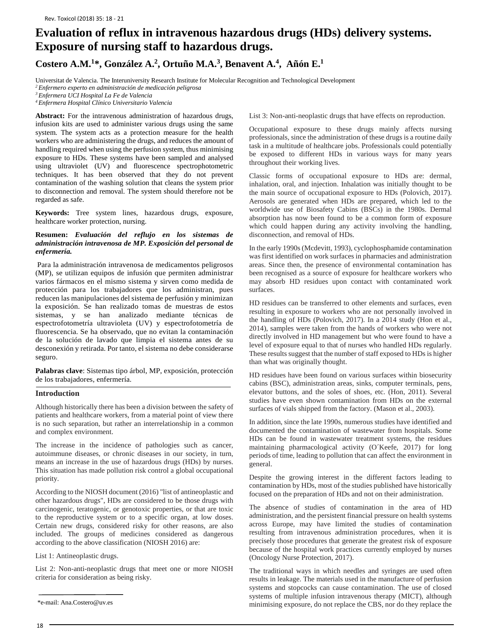# **Evaluation of reflux in intravenous hazardous drugs (HDs) delivery systems. Exposure of nursing staff to hazardous drugs.**

# **Costero A.M.1\*, González A.2, Ortuño M.A.3, Benavent A.4, Añón E.1**

Universitat de Valencia. The Interuniversity Research Institute for Molecular Recognition and Technological Development

*2 Enfermero experto en administración de medicación peligrosa*

*4 Enfermera Hospital Clínico Universitario Valencia*

**Abstract:** For the intravenous administration of hazardous drugs, infusion kits are used to administer various drugs using the same system. The system acts as a protection measure for the health workers who are administering the drugs, and reduces the amount of handling required when using the perfusion system, thus minimising exposure to HDs. These systems have been sampled and analysed using ultraviolet (UV) and fluorescence spectrophotometric techniques. It has been observed that they do not prevent contamination of the washing solution that cleans the system prior to disconnection and removal. The system should therefore not be regarded as safe.

**Keywords:** Tree system lines, hazardous drugs, exposure, healthcare worker protection, nursing.

## **Resumen:** *Evaluación del reflujo en los sistemas de administración intravenosa de MP. Exposición del personal de enfermería.*

Para la administración intravenosa de medicamentos peligrosos (MP), se utilizan equipos de infusión que permiten administrar varios fármacos en el mismo sistema y sirven como medida de protección para los trabajadores que los administran, pues reducen las manipulaciones del sistema de perfusión y minimizan la exposición. Se han realizado tomas de muestras de estos sistemas, y se han analizado mediante técnicas de espectrofotometría ultravioleta (UV) y espectrofotometría de fluorescencia. Se ha observado, que no evitan la contaminación de la solución de lavado que limpia el sistema antes de su desconexión y retirada. Por tanto, el sistema no debe considerarse seguro.

**Palabras clave**: Sistemas tipo árbol, MP, exposición, protección de los trabajadores, enfermería.

#### **Introduction**

Although historically there has been a division between the safety of patients and healthcare workers, from a material point of view there is no such separation, but rather an interrelationship in a common and complex environment.

The increase in the incidence of pathologies such as cancer, autoimmune diseases, or chronic diseases in our society, in turn, means an increase in the use of hazardous drugs (HDs) by nurses. This situation has made pollution risk control a global occupational priority.

According to the NIOSH document (2016) "list of antineoplastic and other hazardous drugs", HDs are considered to be those drugs with carcinogenic, teratogenic, or genotoxic properties, or that are toxic to the reproductive system or to a specific organ, at low doses. Certain new drugs, considered risky for other reasons, are also included. The groups of medicines considered as dangerous according to the above classification (NIOSH 2016) are:

List 1: Antineoplastic drugs.

List 2: Non-anti-neoplastic drugs that meet one or more NIOSH criteria for consideration as being risky.

List 3: Non-anti-neoplastic drugs that have effects on reproduction.

Occupational exposure to these drugs mainly affects nursing professionals, since the administration of these drugs is a routine daily task in a multitude of healthcare jobs. Professionals could potentially be exposed to different HDs in various ways for many years throughout their working lives.

Classic forms of occupational exposure to HDs are: dermal, inhalation, oral, and injection. Inhalation was initially thought to be the main source of occupational exposure to HDs (Polovich, 2017). Aerosols are generated when HDs are prepared, which led to the worldwide use of Biosafety Cabins (BSCs) in the 1980s. Dermal absorption has now been found to be a common form of exposure which could happen during any activity involving the handling, disconnection, and removal of HDs.

In the early 1990s (Mcdevitt, 1993), cyclophosphamide contamination was first identified on work surfaces in pharmacies and administration areas. Since then, the presence of environmental contamination has been recognised as a source of exposure for healthcare workers who may absorb HD residues upon contact with contaminated work surfaces.

HD residues can be transferred to other elements and surfaces, even resulting in exposure to workers who are not personally involved in the handling of HDs (Polovich, 2017). In a 2014 study (Hon et al., 2014), samples were taken from the hands of workers who were not directly involved in HD management but who were found to have a level of exposure equal to that of nurses who handled HDs regularly. These results suggest that the number of staff exposed to HDs is higher than what was originally thought.

HD residues have been found on various surfaces within biosecurity cabins (BSC), administration areas, sinks, computer terminals, pens, elevator buttons, and the soles of shoes, etc. (Hon, 2011). Several studies have even shown contamination from HDs on the external surfaces of vials shipped from the factory. (Mason et al., 2003).

In addition, since the late 1990s, numerous studies have identified and documented the contamination of wastewater from hospitals. Some HDs can be found in wastewater treatment systems, the residues maintaining pharmacological activity (O´Keefe, 2017) for long periods of time, leading to pollution that can affect the environment in general.

Despite the growing interest in the different factors leading to contamination by HDs, most of the studies published have historically focused on the preparation of HDs and not on their administration.

The absence of studies of contamination in the area of HD administration, and the persistent financial pressure on health systems across Europe, may have limited the studies of contamination resulting from intravenous administration procedures, when it is precisely those procedures that generate the greatest risk of exposure because of the hospital work practices currently employed by nurses (Oncology Nurse Protection, 2017).

The traditional ways in which needles and syringes are used often results in leakage. The materials used in the manufacture of perfusion systems and stopcocks can cause contamination. The use of closed systems of multiple infusion intravenous therapy (MICT), although \*e-mail: Ana.Costero@uv.es minimising exposure, do not replace the CBS, nor do they replace the

*<sup>3</sup> Enfermera UCI Hospital La Fe de Valencia*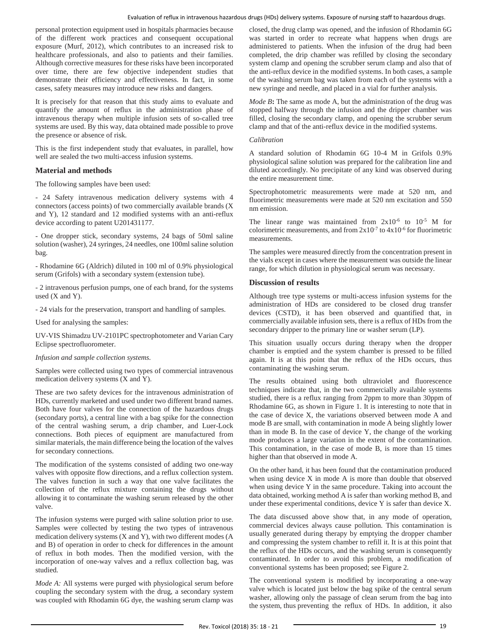personal protection equipment used in hospitals pharmacies because of the different work practices and consequent occupational exposure (Murf, 2012), which contributes to an increased risk to healthcare professionals, and also to patients and their families. Although corrective measures for these risks have been incorporated over time, there are few objective independent studies that demonstrate their efficiency and effectiveness. In fact, in some cases, safety measures may introduce new risks and dangers.

It is precisely for that reason that this study aims to evaluate and quantify the amount of reflux in the administration phase of intravenous therapy when multiple infusion sets of so-called tree systems are used. By this way, data obtained made possible to prove the presence or absence of risk.

This is the first independent study that evaluates, in parallel, how well are sealed the two multi-access infusion systems.

### **Material and methods**

The following samples have been used:

- 24 Safety intravenous medication delivery systems with 4 connectors (access points) of two commercially available brands (X and Y), 12 standard and 12 modified systems with an anti-reflux device according to patent U201431177.

- One dropper stick, secondary systems, 24 bags of 50ml saline solution (washer), 24 syringes, 24 needles, one 100ml saline solution bag.

- Rhodamine 6G (Aldrich) diluted in 100 ml of 0.9% physiological serum (Grifols) with a secondary system (extension tube).

- 2 intravenous perfusion pumps, one of each brand, for the systems used  $(X$  and  $Y)$ .

- 24 vials for the preservation, transport and handling of samples.

Used for analysing the samples:

UV-VIS Shimadzu UV-2101PC spectrophotometer and Varian Cary Eclipse spectrofluorometer.

#### *Infusion and sample collection systems.*

Samples were collected using two types of commercial intravenous medication delivery systems (X and Y).

These are two safety devices for the intravenous administration of HDs, currently marketed and used under two different brand names. Both have four valves for the connection of the hazardous drugs (secondary ports), a central line with a bag spike for the connection of the central washing serum, a drip chamber, and Luer-Lock connections. Both pieces of equipment are manufactured from similar materials, the main difference being the location of the valves for secondary connections.

The modification of the systems consisted of adding two one-way valves with opposite flow directions, and a reflux collection system. The valves function in such a way that one valve facilitates the collection of the reflux mixture containing the drugs without allowing it to contaminate the washing serum released by the other valve.

The infusion systems were purged with saline solution prior to use. Samples were collected by testing the two types of intravenous medication delivery systems (X and Y), with two different modes (A and B) of operation in order to check for differences in the amount of reflux in both modes. Then the modified version, with the incorporation of one-way valves and a reflux collection bag, was studied.

*Mode A:* All systems were purged with physiological serum before coupling the secondary system with the drug, a secondary system was coupled with Rhodamin 6G dye, the washing serum clamp was closed, the drug clamp was opened, and the infusion of Rhodamin 6G was started in order to recreate what happens when drugs are administered to patients. When the infusion of the drug had been completed, the drip chamber was refilled by closing the secondary system clamp and opening the scrubber serum clamp and also that of the anti-reflux device in the modified systems. In both cases, a sample of the washing serum bag was taken from each of the systems with a new syringe and needle, and placed in a vial for further analysis.

*Mode B***:** The same as mode A, but the administration of the drug was stopped halfway through the infusion and the dripper chamber was filled, closing the secondary clamp, and opening the scrubber serum clamp and that of the anti-reflux device in the modified systems.

#### *Calibration*

A standard solution of Rhodamin 6G 10-4 M in Grifols 0.9% physiological saline solution was prepared for the calibration line and diluted accordingly. No precipitate of any kind was observed during the entire measurement time.

Spectrophotometric measurements were made at 520 nm, and fluorimetric measurements were made at 520 nm excitation and 550 nm emission.

The linear range was maintained from  $2x10^{-6}$  to  $10^{-5}$  M for colorimetric measurements, and from  $2x10^{-7}$  to  $4x10^{-6}$  for fluorimetric measurements.

The samples were measured directly from the concentration present in the vials except in cases where the measurement was outside the linear range, for which dilution in physiological serum was necessary.

#### **Discussion of results**

Although tree type systems or multi-access infusion systems for the administration of HDs are considered to be closed drug transfer devices (CSTD), it has been observed and quantified that, in commercially available infusion sets, there is a reflux of HDs from the secondary dripper to the primary line or washer serum (LP).

This situation usually occurs during therapy when the dropper chamber is emptied and the system chamber is pressed to be filled again. It is at this point that the reflux of the HDs occurs, thus contaminating the washing serum.

The results obtained using both ultraviolet and fluorescence techniques indicate that, in the two commercially available systems studied, there is a reflux ranging from 2ppm to more than 30ppm of Rhodamine 6G, as shown in Figure 1. It is interesting to note that in the case of device X, the variations observed between mode A and mode B are small, with contamination in mode A being slightly lower than in mode B. In the case of device Y, the change of the working mode produces a large variation in the extent of the contamination. This contamination, in the case of mode B, is more than 15 times higher than that observed in mode A.

On the other hand, it has been found that the contamination produced when using device X in mode A is more than double that observed when using device Y in the same procedure. Taking into account the data obtained, working method A is safer than working method B, and under these experimental conditions, device Y is safer than device X.

The data discussed above show that, in any mode of operation, commercial devices always cause pollution. This contamination is usually generated during therapy by emptying the dropper chamber and compressing the system chamber to refill it. It is at this point that the reflux of the HDs occurs, and the washing serum is consequently contaminated. In order to avoid this problem, a modification of conventional systems has been proposed; see Figure 2.

The conventional system is modified by incorporating a one-way valve which is located just below the bag spike of the central serum washer, allowing only the passage of clean serum from the bag into the system, thus preventing the reflux of HDs. In addition, it also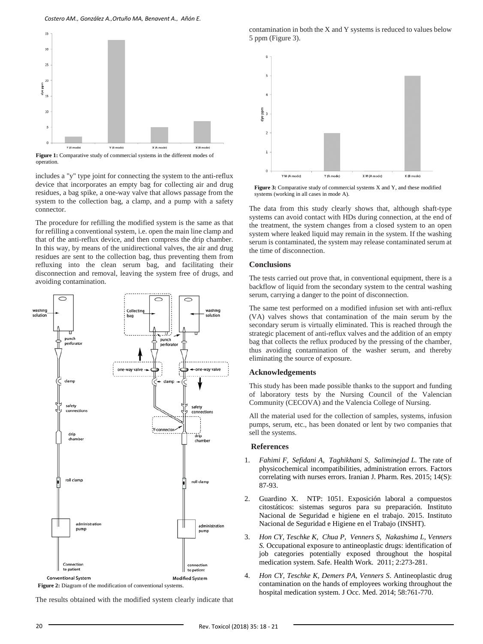*Costero AM., González A.,Ortuño MA, Benavent A., Añón E.*



**Figure 1:** Comparative study of commercial systems in the different modes of operation.

includes a "y" type joint for connecting the system to the anti-reflux device that incorporates an empty bag for collecting air and drug residues, a bag spike, a one-way valve that allows passage from the system to the collection bag, a clamp, and a pump with a safety connector.

The procedure for refilling the modified system is the same as that for refilling a conventional system, i.e. open the main line clamp and that of the anti-reflux device, and then compress the drip chamber. In this way, by means of the unidirectional valves, the air and drug residues are sent to the collection bag, thus preventing them from refluxing into the clean serum bag, and facilitating their disconnection and removal, leaving the system free of drugs, and avoiding contamination.



**Figure 2:** Diagram of the modification of conventional systems.

The results obtained with the modified system clearly indicate that

contamination in both the X and Y systems is reduced to values below 5 ppm (Figure 3).



**Figure 3:** Comparative study of commercial systems X and Y, and these modified systems (working in all cases in mode A).

The data from this study clearly shows that, although shaft-type systems can avoid contact with HDs during connection, at the end of the treatment, the system changes from a closed system to an open system where leaked liquid may remain in the system. If the washing serum is contaminated, the system may release contaminated serum at the time of disconnection.

# **Conclusions**

The tests carried out prove that, in conventional equipment, there is a backflow of liquid from the secondary system to the central washing serum, carrying a danger to the point of disconnection.

The same test performed on a modified infusion set with anti-reflux (VA) valves shows that contamination of the main serum by the secondary serum is virtually eliminated. This is reached through the strategic placement of anti-reflux valves and the addition of an empty bag that collects the reflux produced by the pressing of the chamber, thus avoiding contamination of the washer serum, and thereby eliminating the source of exposure.

#### **Acknowledgements**

This study has been made possible thanks to the support and funding of laboratory tests by the Nursing Council of the Valencian Community (CECOVA) and the Valencia College of Nursing.

All the material used for the collection of samples, systems, infusion pumps, serum, etc., has been donated or lent by two companies that sell the systems.

#### **References**

- 1. *Fahimi F, Sefidani A, Taghikhani S, Saliminejad L.* The rate of physicochemical incompatibilities, administration errors. Factors correlating with nurses errors. Iranian J. Pharm. Res. 2015; 14(S): 87-93.
- 2. Guardino X. NTP: 1051. Exposición laboral a compuestos citostáticos: sistemas seguros para su preparación. Instituto Nacional de Seguridad e higiene en el trabajo. 2015. Instituto Nacional de Seguridad e Higiene en el Trabajo (INSHT).
- 3. *Hon CY[, Teschke K,](https://www.ncbi.nlm.nih.gov/pubmed/?term=Teschke%20K%5BAuthor%5D&cauthor=true&cauthor_uid=24644303) [Chua](https://www.ncbi.nlm.nih.gov/pubmed/?term=Chua%20P%5BAuthor%5D&cauthor=true&cauthor_uid=22953211) P[, Venners](https://www.ncbi.nlm.nih.gov/pubmed/?term=Venners%20S%5BAuthor%5D&cauthor=true&cauthor_uid=22953211) S, [Nakashima](https://www.ncbi.nlm.nih.gov/pubmed/?term=Nakashima%20L%5BAuthor%5D&cauthor=true&cauthor_uid=22953211) L, [Venners](https://www.ncbi.nlm.nih.gov/pubmed/?term=Venners%20S%5BAuthor%5D&cauthor=true&cauthor_uid=22953211) S.* Occupational exposure to antineoplastic drugs: identification of job categories potentially exposed throughout the hospital medication system. Safe. Health Work. 2011; 2:273-281.
- 4. *Hon CY, [Teschke K,](https://www.ncbi.nlm.nih.gov/pubmed/?term=Teschke%20K%5BAuthor%5D&cauthor=true&cauthor_uid=24644303) [Demers PA,](https://www.ncbi.nlm.nih.gov/pubmed/?term=Demers%20PA%5BAuthor%5D&cauthor=true&cauthor_uid=24644303) [Venners S](https://www.ncbi.nlm.nih.gov/pubmed/?term=Venners%20S%5BAuthor%5D&cauthor=true&cauthor_uid=24644303)*. Antineoplastic drug contamination on the hands of employees working throughout the hospital medication system. J Occ. Med. 2014; 58:761-770.